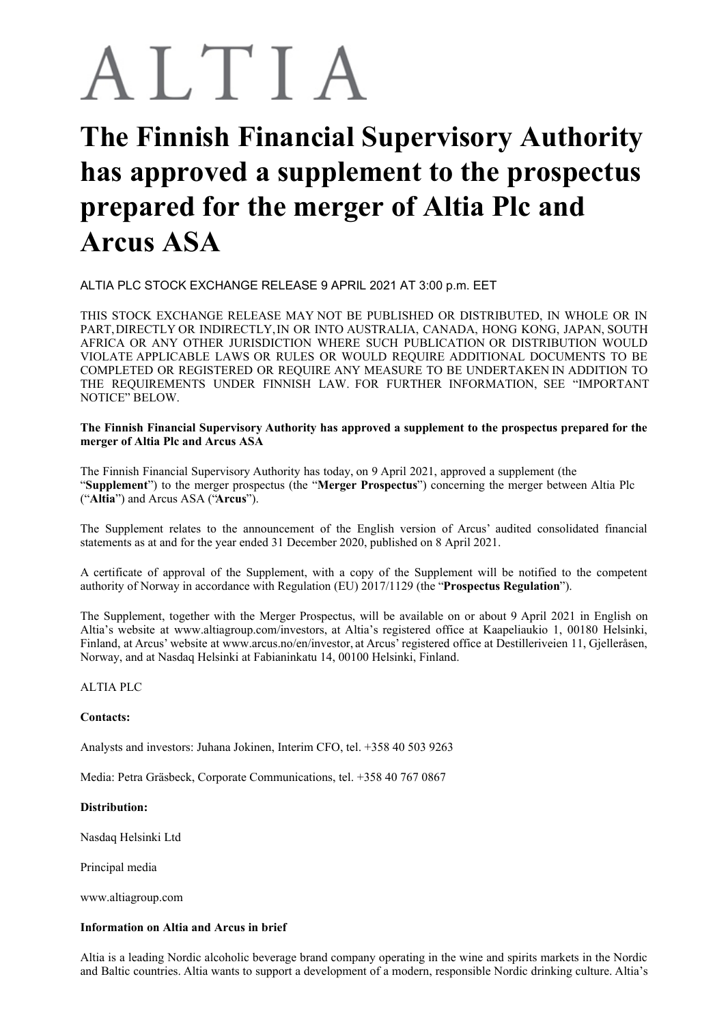# ALTIA

# **The Finnish Financial Supervisory Authority has approved a supplement to the prospectus prepared for the merger of Altia Plc and Arcus ASA**

ALTIA PLC STOCK EXCHANGE RELEASE 9 APRIL 2021 AT 3:00 p.m. EET

THIS STOCK EXCHANGE RELEASE MAY NOT BE PUBLISHED OR DISTRIBUTED, IN WHOLE OR IN PART,DIRECTLY OR INDIRECTLY,IN OR INTO AUSTRALIA, CANADA, HONG KONG, JAPAN, SOUTH AFRICA OR ANY OTHER JURISDICTION WHERE SUCH PUBLICATION OR DISTRIBUTION WOULD VIOLATE APPLICABLE LAWS OR RULES OR WOULD REQUIRE ADDITIONAL DOCUMENTS TO BE COMPLETED OR REGISTERED OR REQUIRE ANY MEASURE TO BE UNDERTAKEN IN ADDITION TO THE REQUIREMENTS UNDER FINNISH LAW. FOR FURTHER INFORMATION, SEE "IMPORTANT NOTICE" BELOW.

**The Finnish Financial Supervisory Authority has approved a supplement to the prospectus prepared for the merger of Altia Plc and Arcus ASA**

The Finnish Financial Supervisory Authority has today, on 9 April 2021, approved a supplement (the "**Supplement**") to the merger prospectus (the "**Merger Prospectus**") concerning the merger between Altia Plc ("**Altia**") and Arcus ASA ("**Arcus**").

The Supplement relates to the announcement of the English version of Arcus' audited consolidated financial statements as at and for the year ended 31 December 2020, published on 8 April 2021.

A certificate of approval of the Supplement, with a copy of the Supplement will be notified to the competent authority of Norway in accordance with Regulation (EU) 2017/1129 (the "**Prospectus Regulation**").

The Supplement, together with the Merger Prospectus, will be available on or about 9 April 2021 in English on Altia's website at www.altiagroup.com/investors, at Altia's registered office at Kaapeliaukio 1, 00180 Helsinki, Finland, at Arcus' website at www.arcus.no/en/investor, at Arcus' registered office at Destilleriveien 11, Gjelleråsen, Norway, and at Nasdaq Helsinki at Fabianinkatu 14, 00100 Helsinki, Finland.

## ALTIA PLC

## **Contacts:**

Analysts and investors: Juhana Jokinen, Interim CFO, tel. +358 40 503 9263

Media: Petra Gräsbeck, Corporate Communications, tel. +358 40 767 0867

#### **Distribution:**

Nasdaq Helsinki Ltd

Principal media

www.altiagroup.com

#### **Information on Altia and Arcus in brief**

Altia is a leading Nordic alcoholic beverage brand company operating in the wine and spirits markets in the Nordic and Baltic countries. Altia wants to support a development of a modern, responsible Nordic drinking culture. Altia's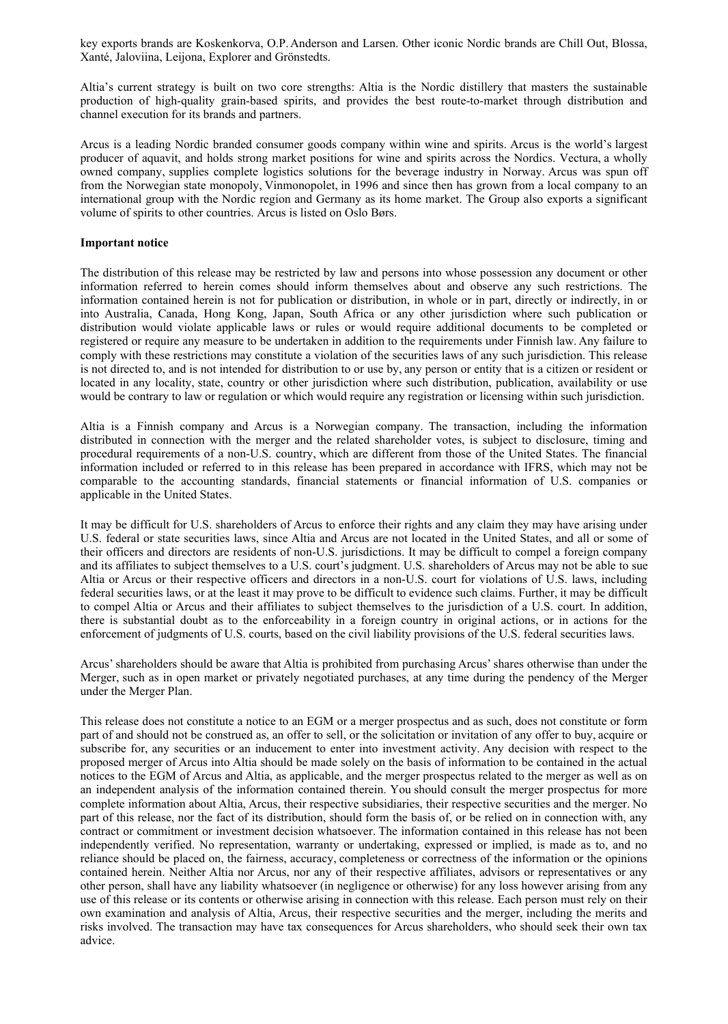key exports brands are Koskenkorva, O.P.Anderson and Larsen. Other iconic Nordic brands are Chill Out, Blossa, Xanté, Jaloviina, Leijona, Explorer and Grönstedts.

Altia's current strategy is built on two core strengths: Altia is the Nordic distillery that masters the sustainable production of high-quality grain-based spirits, and provides the best route-to-market through distribution and channel execution for its brands and partners.

Arcus is a leading Nordic branded consumer goods company within wine and spirits. Arcus is the world's largest producer of aquavit, and holds strong market positions for wine and spirits across the Nordics. Vectura, a wholly owned company, supplies complete logistics solutions for the beverage industry in Norway. Arcus was spun off from the Norwegian state monopoly, Vinmonopolet, in 1996 and since then has grown from a local company to an international group with the Nordic region and Germany as its home market. The Group also exports a significant volume of spirits to other countries. Arcus is listed on Oslo Børs.

#### **Important notice**

The distribution of this release may be restricted by law and persons into whose possession any document or other information referred to herein comes should inform themselves about and observe any such restrictions. The information contained herein is not for publication or distribution, in whole or in part, directly or indirectly, in or into Australia, Canada, Hong Kong, Japan, South Africa or any other jurisdiction where such publication or distribution would violate applicable laws or rules or would require additional documents to be completed or registered or require any measure to be undertaken in addition to the requirements under Finnish law. Any failure to comply with these restrictions may constitute a violation of the securities laws of any such jurisdiction. This release is not directed to, and is not intended for distribution to or use by, any person or entity that is a citizen or resident or located in any locality, state, country or other jurisdiction where such distribution, publication, availability or use would be contrary to law or regulation or which would require any registration or licensing within such jurisdiction.

Altia is a Finnish company and Arcus is a Norwegian company. The transaction, including the information distributed in connection with the merger and the related shareholder votes, is subject to disclosure, timing and procedural requirements of a non-U.S. country, which are different from those of the United States. The financial information included or referred to in this release has been prepared in accordance with IFRS, which may not be comparable to the accounting standards, financial statements or financial information of U.S. companies or applicable in the United States.

It may be difficult for U.S. shareholders of Arcus to enforce their rights and any claim they may have arising under U.S. federal or state securities laws, since Altia and Arcus are not located in the United States, and all or some of their officers and directors are residents of non-U.S. jurisdictions. It may be difficult to compel a foreign company and its affiliates to subject themselves to a U.S. court's judgment. U.S. shareholders of Arcus may not be able to sue Altia or Arcus or their respective officers and directors in a non-U.S. court for violations of U.S. laws, including federal securities laws, or at the least it may prove to be difficult to evidence such claims. Further, it may be difficult to compel Altia or Arcus and their affiliates to subject themselves to the jurisdiction of a U.S. court. In addition, there is substantial doubt as to the enforceability in a foreign country in original actions, or in actions for the enforcement of judgments of U.S. courts, based on the civil liability provisions of the U.S. federal securities laws.

Arcus'shareholders should be aware that Altia is prohibited from purchasing Arcus'shares otherwise than under the Merger, such as in open market or privately negotiated purchases, at any time during the pendency of the Merger under the Merger Plan.

This release does not constitute a notice to an EGM or a merger prospectus and as such, does not constitute or form part of and should not be construed as, an offer to sell, or the solicitation or invitation of any offer to buy, acquire or subscribe for, any securities or an inducement to enter into investment activity. Any decision with respect to the proposed merger of Arcus into Altia should be made solely on the basis of information to be contained in the actual notices to the EGM of Arcus and Altia, as applicable, and the merger prospectus related to the merger as well as on an independent analysis of the information contained therein. You should consult the merger prospectus for more complete information about Altia, Arcus, their respective subsidiaries, their respective securities and the merger. No part of this release, nor the fact of its distribution, should form the basis of, or be relied on in connection with, any contract or commitment or investment decision whatsoever. The information contained in this release has not been independently verified. No representation, warranty or undertaking, expressed or implied, is made as to, and no reliance should be placed on, the fairness, accuracy, completeness or correctness of the information or the opinions contained herein. Neither Altia nor Arcus, nor any of their respective affiliates, advisors or representatives or any other person, shall have any liability whatsoever (in negligence or otherwise) for any loss however arising from any use of this release or its contents or otherwise arising in connection with this release. Each person must rely on their own examination and analysis of Altia, Arcus, their respective securities and the merger, including the merits and risks involved. The transaction may have tax consequences for Arcus shareholders, who should seek their own tax advice.